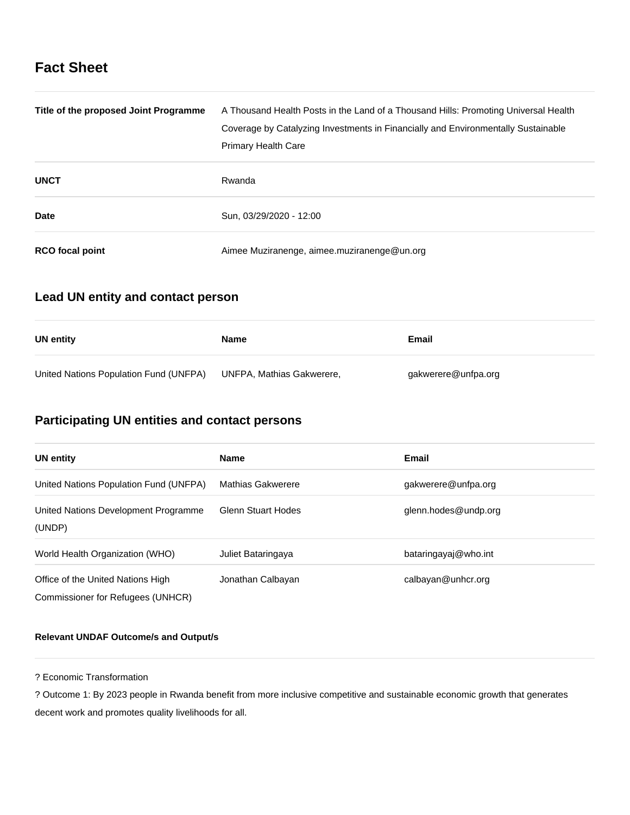# **Fact Sheet**

| Title of the proposed Joint Programme | A Thousand Health Posts in the Land of a Thousand Hills: Promoting Universal Health |  |
|---------------------------------------|-------------------------------------------------------------------------------------|--|
|                                       | Coverage by Catalyzing Investments in Financially and Environmentally Sustainable   |  |
|                                       | <b>Primary Health Care</b>                                                          |  |
| <b>UNCT</b>                           | Rwanda                                                                              |  |
| <b>Date</b>                           | Sun, 03/29/2020 - 12:00                                                             |  |
| <b>RCO</b> focal point                | Aimee Muziranenge, aimee.muziranenge@un.org                                         |  |

### **Lead UN entity and contact person**

| UN entity                              | Name                      | Email               |
|----------------------------------------|---------------------------|---------------------|
| United Nations Population Fund (UNFPA) | UNFPA, Mathias Gakwerere, | gakwerere@unfpa.org |

# **Participating UN entities and contact persons**

| <b>UN entity</b>                               | <b>Name</b>               | Email                |
|------------------------------------------------|---------------------------|----------------------|
| United Nations Population Fund (UNFPA)         | <b>Mathias Gakwerere</b>  | gakwerere@unfpa.org  |
| United Nations Development Programme<br>(UNDP) | <b>Glenn Stuart Hodes</b> | glenn.hodes@undp.org |
| World Health Organization (WHO)                | Juliet Bataringaya        | bataringayaj@who.int |
| Office of the United Nations High              | Jonathan Calbayan         | calbayan@unhcr.org   |
| Commissioner for Refugees (UNHCR)              |                           |                      |

### **Relevant UNDAF Outcome/s and Output/s**

? Economic Transformation

? Outcome 1: By 2023 people in Rwanda benefit from more inclusive competitive and sustainable economic growth that generates decent work and promotes quality livelihoods for all.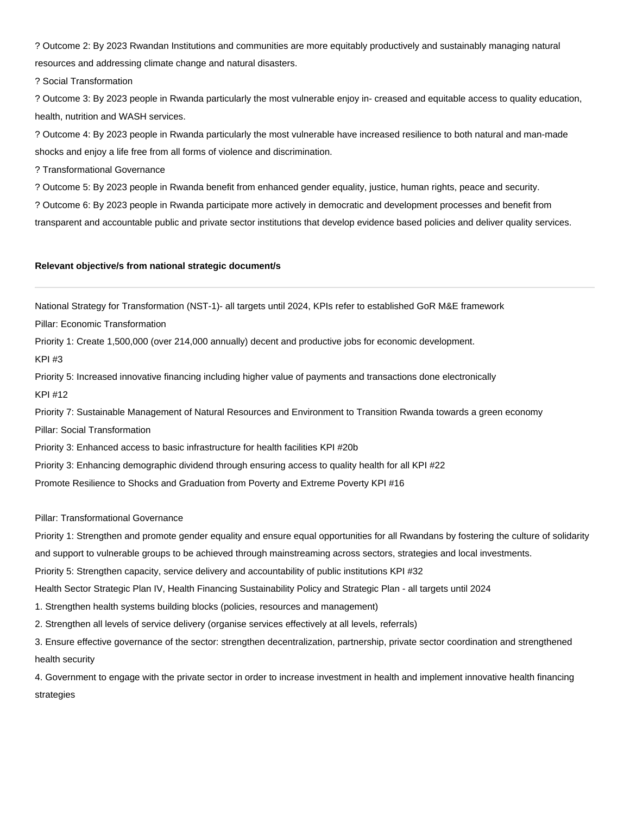? Outcome 2: By 2023 Rwandan Institutions and communities are more equitably productively and sustainably managing natural resources and addressing climate change and natural disasters.

? Social Transformation

? Outcome 3: By 2023 people in Rwanda particularly the most vulnerable enjoy in- creased and equitable access to quality education, health, nutrition and WASH services.

? Outcome 4: By 2023 people in Rwanda particularly the most vulnerable have increased resilience to both natural and man-made shocks and enjoy a life free from all forms of violence and discrimination.

? Transformational Governance

? Outcome 5: By 2023 people in Rwanda benefit from enhanced gender equality, justice, human rights, peace and security.

? Outcome 6: By 2023 people in Rwanda participate more actively in democratic and development processes and benefit from

transparent and accountable public and private sector institutions that develop evidence based policies and deliver quality services.

#### **Relevant objective/s from national strategic document/s**

National Strategy for Transformation (NST-1)- all targets until 2024, KPIs refer to established GoR M&E framework

Pillar: Economic Transformation

Priority 1: Create 1,500,000 (over 214,000 annually) decent and productive jobs for economic development.

KPI #3

Priority 5: Increased innovative financing including higher value of payments and transactions done electronically KPI #12

Priority 7: Sustainable Management of Natural Resources and Environment to Transition Rwanda towards a green economy Pillar: Social Transformation

Priority 3: Enhanced access to basic infrastructure for health facilities KPI #20b

Priority 3: Enhancing demographic dividend through ensuring access to quality health for all KPI #22

Promote Resilience to Shocks and Graduation from Poverty and Extreme Poverty KPI #16

Pillar: Transformational Governance

Priority 1: Strengthen and promote gender equality and ensure equal opportunities for all Rwandans by fostering the culture of solidarity

and support to vulnerable groups to be achieved through mainstreaming across sectors, strategies and local investments.

Priority 5: Strengthen capacity, service delivery and accountability of public institutions KPI #32

Health Sector Strategic Plan IV, Health Financing Sustainability Policy and Strategic Plan - all targets until 2024

1. Strengthen health systems building blocks (policies, resources and management)

2. Strengthen all levels of service delivery (organise services effectively at all levels, referrals)

3. Ensure effective governance of the sector: strengthen decentralization, partnership, private sector coordination and strengthened health security

4. Government to engage with the private sector in order to increase investment in health and implement innovative health financing strategies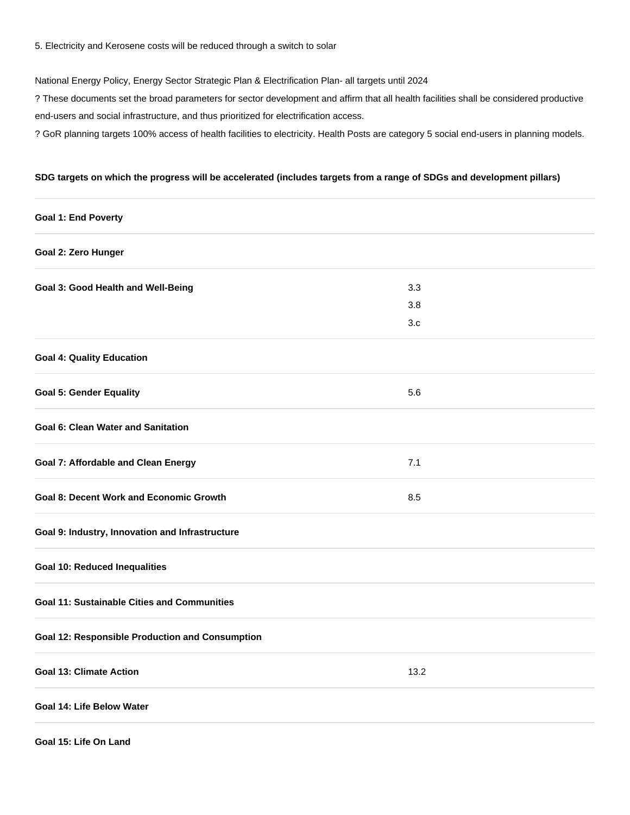5. Electricity and Kerosene costs will be reduced through a switch to solar

National Energy Policy, Energy Sector Strategic Plan & Electrification Plan- all targets until 2024

? These documents set the broad parameters for sector development and affirm that all health facilities shall be considered productive end-users and social infrastructure, and thus prioritized for electrification access.

? GoR planning targets 100% access of health facilities to electricity. Health Posts are category 5 social end-users in planning models.

### **SDG targets on which the progress will be accelerated (includes targets from a range of SDGs and development pillars)**

| <b>Goal 1: End Poverty</b>                             |      |  |
|--------------------------------------------------------|------|--|
| Goal 2: Zero Hunger                                    |      |  |
| Goal 3: Good Health and Well-Being                     | 3.3  |  |
|                                                        | 3.8  |  |
|                                                        | 3.c  |  |
| <b>Goal 4: Quality Education</b>                       |      |  |
| <b>Goal 5: Gender Equality</b>                         | 5.6  |  |
| <b>Goal 6: Clean Water and Sanitation</b>              |      |  |
| <b>Goal 7: Affordable and Clean Energy</b>             | 7.1  |  |
| <b>Goal 8: Decent Work and Economic Growth</b>         | 8.5  |  |
| Goal 9: Industry, Innovation and Infrastructure        |      |  |
| <b>Goal 10: Reduced Inequalities</b>                   |      |  |
| <b>Goal 11: Sustainable Cities and Communities</b>     |      |  |
| <b>Goal 12: Responsible Production and Consumption</b> |      |  |
| <b>Goal 13: Climate Action</b>                         | 13.2 |  |
| Goal 14: Life Below Water                              |      |  |
| Goal 15: Life On Land                                  |      |  |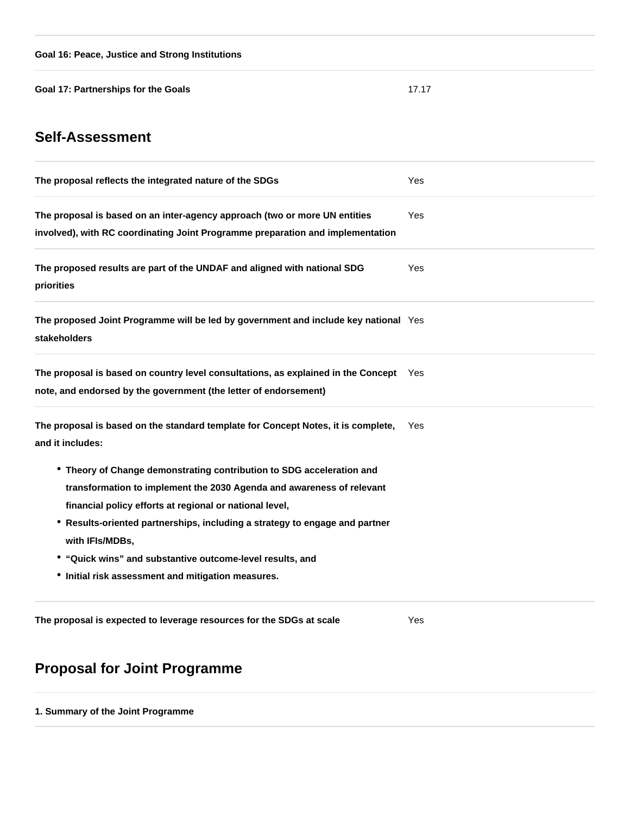**Goal 17: Partnerships for the Goals** 17.17

# **Self-Assessment**

| The proposal reflects the integrated nature of the SDGs                                                                                                                                                                                                                                                                                                                                                                        | Yes |
|--------------------------------------------------------------------------------------------------------------------------------------------------------------------------------------------------------------------------------------------------------------------------------------------------------------------------------------------------------------------------------------------------------------------------------|-----|
| The proposal is based on an inter-agency approach (two or more UN entities<br>involved), with RC coordinating Joint Programme preparation and implementation                                                                                                                                                                                                                                                                   | Yes |
| The proposed results are part of the UNDAF and aligned with national SDG<br>priorities                                                                                                                                                                                                                                                                                                                                         | Yes |
| The proposed Joint Programme will be led by government and include key national Yes<br>stakeholders                                                                                                                                                                                                                                                                                                                            |     |
| The proposal is based on country level consultations, as explained in the Concept Yes<br>note, and endorsed by the government (the letter of endorsement)                                                                                                                                                                                                                                                                      |     |
| The proposal is based on the standard template for Concept Notes, it is complete,<br>and it includes:                                                                                                                                                                                                                                                                                                                          | Yes |
| • Theory of Change demonstrating contribution to SDG acceleration and<br>transformation to implement the 2030 Agenda and awareness of relevant<br>financial policy efforts at regional or national level,<br>• Results-oriented partnerships, including a strategy to engage and partner<br>with IFIs/MDBs,<br>• "Quick wins" and substantive outcome-level results, and<br>• Initial risk assessment and mitigation measures. |     |
| The proposal is expected to leverage resources for the SDGs at scale                                                                                                                                                                                                                                                                                                                                                           | Yes |

# **Proposal for Joint Programme**

**1. Summary of the Joint Programme**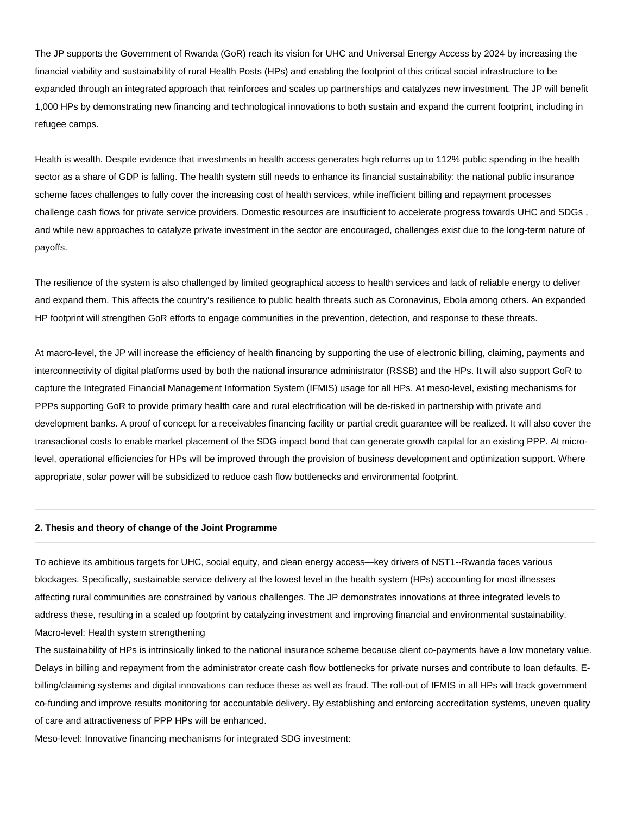The JP supports the Government of Rwanda (GoR) reach its vision for UHC and Universal Energy Access by 2024 by increasing the financial viability and sustainability of rural Health Posts (HPs) and enabling the footprint of this critical social infrastructure to be expanded through an integrated approach that reinforces and scales up partnerships and catalyzes new investment. The JP will benefit 1,000 HPs by demonstrating new financing and technological innovations to both sustain and expand the current footprint, including in refugee camps.

Health is wealth. Despite evidence that investments in health access generates high returns up to 112% public spending in the health sector as a share of GDP is falling. The health system still needs to enhance its financial sustainability: the national public insurance scheme faces challenges to fully cover the increasing cost of health services, while inefficient billing and repayment processes challenge cash flows for private service providers. Domestic resources are insufficient to accelerate progress towards UHC and SDGs , and while new approaches to catalyze private investment in the sector are encouraged, challenges exist due to the long-term nature of payoffs.

The resilience of the system is also challenged by limited geographical access to health services and lack of reliable energy to deliver and expand them. This affects the country's resilience to public health threats such as Coronavirus, Ebola among others. An expanded HP footprint will strengthen GoR efforts to engage communities in the prevention, detection, and response to these threats.

At macro-level, the JP will increase the efficiency of health financing by supporting the use of electronic billing, claiming, payments and interconnectivity of digital platforms used by both the national insurance administrator (RSSB) and the HPs. It will also support GoR to capture the Integrated Financial Management Information System (IFMIS) usage for all HPs. At meso-level, existing mechanisms for PPPs supporting GoR to provide primary health care and rural electrification will be de-risked in partnership with private and development banks. A proof of concept for a receivables financing facility or partial credit guarantee will be realized. It will also cover the transactional costs to enable market placement of the SDG impact bond that can generate growth capital for an existing PPP. At microlevel, operational efficiencies for HPs will be improved through the provision of business development and optimization support. Where appropriate, solar power will be subsidized to reduce cash flow bottlenecks and environmental footprint.

### **2. Thesis and theory of change of the Joint Programme**

To achieve its ambitious targets for UHC, social equity, and clean energy access—key drivers of NST1--Rwanda faces various blockages. Specifically, sustainable service delivery at the lowest level in the health system (HPs) accounting for most illnesses affecting rural communities are constrained by various challenges. The JP demonstrates innovations at three integrated levels to address these, resulting in a scaled up footprint by catalyzing investment and improving financial and environmental sustainability. Macro-level: Health system strengthening

The sustainability of HPs is intrinsically linked to the national insurance scheme because client co-payments have a low monetary value. Delays in billing and repayment from the administrator create cash flow bottlenecks for private nurses and contribute to loan defaults. Ebilling/claiming systems and digital innovations can reduce these as well as fraud. The roll-out of IFMIS in all HPs will track government co-funding and improve results monitoring for accountable delivery. By establishing and enforcing accreditation systems, uneven quality of care and attractiveness of PPP HPs will be enhanced.

Meso-level: Innovative financing mechanisms for integrated SDG investment: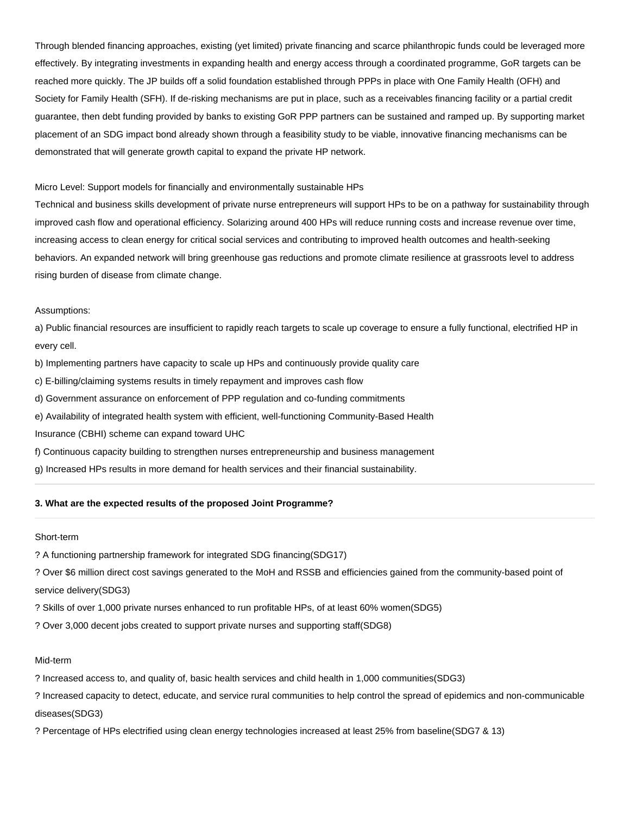Through blended financing approaches, existing (yet limited) private financing and scarce philanthropic funds could be leveraged more effectively. By integrating investments in expanding health and energy access through a coordinated programme, GoR targets can be reached more quickly. The JP builds off a solid foundation established through PPPs in place with One Family Health (OFH) and Society for Family Health (SFH). If de-risking mechanisms are put in place, such as a receivables financing facility or a partial credit guarantee, then debt funding provided by banks to existing GoR PPP partners can be sustained and ramped up. By supporting market placement of an SDG impact bond already shown through a feasibility study to be viable, innovative financing mechanisms can be demonstrated that will generate growth capital to expand the private HP network.

#### Micro Level: Support models for financially and environmentally sustainable HPs

Technical and business skills development of private nurse entrepreneurs will support HPs to be on a pathway for sustainability through improved cash flow and operational efficiency. Solarizing around 400 HPs will reduce running costs and increase revenue over time, increasing access to clean energy for critical social services and contributing to improved health outcomes and health-seeking behaviors. An expanded network will bring greenhouse gas reductions and promote climate resilience at grassroots level to address rising burden of disease from climate change.

#### Assumptions:

a) Public financial resources are insufficient to rapidly reach targets to scale up coverage to ensure a fully functional, electrified HP in every cell.

b) Implementing partners have capacity to scale up HPs and continuously provide quality care

c) E-billing/claiming systems results in timely repayment and improves cash flow

d) Government assurance on enforcement of PPP regulation and co-funding commitments

e) Availability of integrated health system with efficient, well-functioning Community-Based Health

Insurance (CBHI) scheme can expand toward UHC

f) Continuous capacity building to strengthen nurses entrepreneurship and business management

g) Increased HPs results in more demand for health services and their financial sustainability.

### **3. What are the expected results of the proposed Joint Programme?**

#### Short-term

? A functioning partnership framework for integrated SDG financing(SDG17)

? Over \$6 million direct cost savings generated to the MoH and RSSB and efficiencies gained from the community-based point of service delivery(SDG3)

? Skills of over 1,000 private nurses enhanced to run profitable HPs, of at least 60% women(SDG5)

? Over 3,000 decent jobs created to support private nurses and supporting staff(SDG8)

#### Mid-term

? Increased access to, and quality of, basic health services and child health in 1,000 communities(SDG3)

? Increased capacity to detect, educate, and service rural communities to help control the spread of epidemics and non-communicable diseases(SDG3)

? Percentage of HPs electrified using clean energy technologies increased at least 25% from baseline(SDG7 & 13)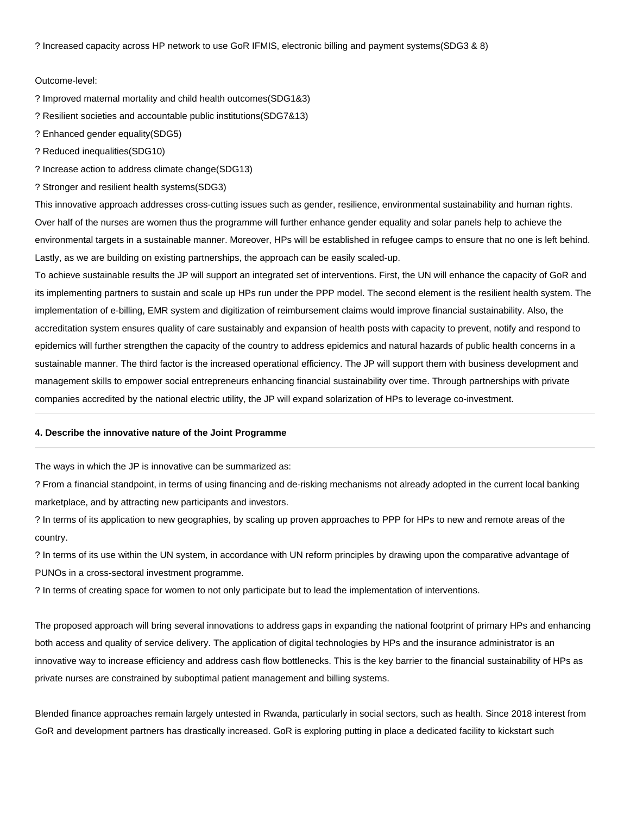? Increased capacity across HP network to use GoR IFMIS, electronic billing and payment systems(SDG3 & 8)

#### Outcome-level:

? Improved maternal mortality and child health outcomes(SDG1&3)

? Resilient societies and accountable public institutions(SDG7&13)

? Enhanced gender equality(SDG5)

? Reduced inequalities(SDG10)

? Increase action to address climate change(SDG13)

? Stronger and resilient health systems(SDG3)

This innovative approach addresses cross-cutting issues such as gender, resilience, environmental sustainability and human rights. Over half of the nurses are women thus the programme will further enhance gender equality and solar panels help to achieve the environmental targets in a sustainable manner. Moreover, HPs will be established in refugee camps to ensure that no one is left behind. Lastly, as we are building on existing partnerships, the approach can be easily scaled-up.

To achieve sustainable results the JP will support an integrated set of interventions. First, the UN will enhance the capacity of GoR and its implementing partners to sustain and scale up HPs run under the PPP model. The second element is the resilient health system. The implementation of e-billing, EMR system and digitization of reimbursement claims would improve financial sustainability. Also, the accreditation system ensures quality of care sustainably and expansion of health posts with capacity to prevent, notify and respond to epidemics will further strengthen the capacity of the country to address epidemics and natural hazards of public health concerns in a sustainable manner. The third factor is the increased operational efficiency. The JP will support them with business development and management skills to empower social entrepreneurs enhancing financial sustainability over time. Through partnerships with private companies accredited by the national electric utility, the JP will expand solarization of HPs to leverage co-investment.

#### **4. Describe the innovative nature of the Joint Programme**

The ways in which the JP is innovative can be summarized as:

? From a financial standpoint, in terms of using financing and de-risking mechanisms not already adopted in the current local banking marketplace, and by attracting new participants and investors.

? In terms of its application to new geographies, by scaling up proven approaches to PPP for HPs to new and remote areas of the country.

? In terms of its use within the UN system, in accordance with UN reform principles by drawing upon the comparative advantage of PUNOs in a cross-sectoral investment programme.

? In terms of creating space for women to not only participate but to lead the implementation of interventions.

The proposed approach will bring several innovations to address gaps in expanding the national footprint of primary HPs and enhancing both access and quality of service delivery. The application of digital technologies by HPs and the insurance administrator is an innovative way to increase efficiency and address cash flow bottlenecks. This is the key barrier to the financial sustainability of HPs as private nurses are constrained by suboptimal patient management and billing systems.

Blended finance approaches remain largely untested in Rwanda, particularly in social sectors, such as health. Since 2018 interest from GoR and development partners has drastically increased. GoR is exploring putting in place a dedicated facility to kickstart such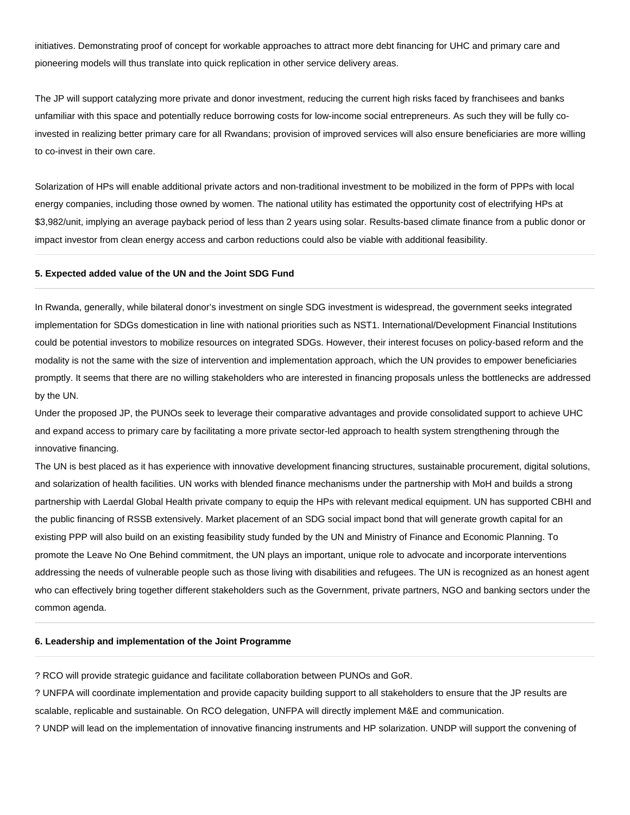initiatives. Demonstrating proof of concept for workable approaches to attract more debt financing for UHC and primary care and pioneering models will thus translate into quick replication in other service delivery areas.

The JP will support catalyzing more private and donor investment, reducing the current high risks faced by franchisees and banks unfamiliar with this space and potentially reduce borrowing costs for low-income social entrepreneurs. As such they will be fully coinvested in realizing better primary care for all Rwandans; provision of improved services will also ensure beneficiaries are more willing to co-invest in their own care.

Solarization of HPs will enable additional private actors and non-traditional investment to be mobilized in the form of PPPs with local energy companies, including those owned by women. The national utility has estimated the opportunity cost of electrifying HPs at \$3,982/unit, implying an average payback period of less than 2 years using solar. Results-based climate finance from a public donor or impact investor from clean energy access and carbon reductions could also be viable with additional feasibility.

#### **5. Expected added value of the UN and the Joint SDG Fund**

In Rwanda, generally, while bilateral donor's investment on single SDG investment is widespread, the government seeks integrated implementation for SDGs domestication in line with national priorities such as NST1. International/Development Financial Institutions could be potential investors to mobilize resources on integrated SDGs. However, their interest focuses on policy-based reform and the modality is not the same with the size of intervention and implementation approach, which the UN provides to empower beneficiaries promptly. It seems that there are no willing stakeholders who are interested in financing proposals unless the bottlenecks are addressed by the UN.

Under the proposed JP, the PUNOs seek to leverage their comparative advantages and provide consolidated support to achieve UHC and expand access to primary care by facilitating a more private sector-led approach to health system strengthening through the innovative financing.

The UN is best placed as it has experience with innovative development financing structures, sustainable procurement, digital solutions, and solarization of health facilities. UN works with blended finance mechanisms under the partnership with MoH and builds a strong partnership with Laerdal Global Health private company to equip the HPs with relevant medical equipment. UN has supported CBHI and the public financing of RSSB extensively. Market placement of an SDG social impact bond that will generate growth capital for an existing PPP will also build on an existing feasibility study funded by the UN and Ministry of Finance and Economic Planning. To promote the Leave No One Behind commitment, the UN plays an important, unique role to advocate and incorporate interventions addressing the needs of vulnerable people such as those living with disabilities and refugees. The UN is recognized as an honest agent who can effectively bring together different stakeholders such as the Government, private partners, NGO and banking sectors under the common agenda.

#### **6. Leadership and implementation of the Joint Programme**

? RCO will provide strategic guidance and facilitate collaboration between PUNOs and GoR.

? UNFPA will coordinate implementation and provide capacity building support to all stakeholders to ensure that the JP results are scalable, replicable and sustainable. On RCO delegation, UNFPA will directly implement M&E and communication.

? UNDP will lead on the implementation of innovative financing instruments and HP solarization. UNDP will support the convening of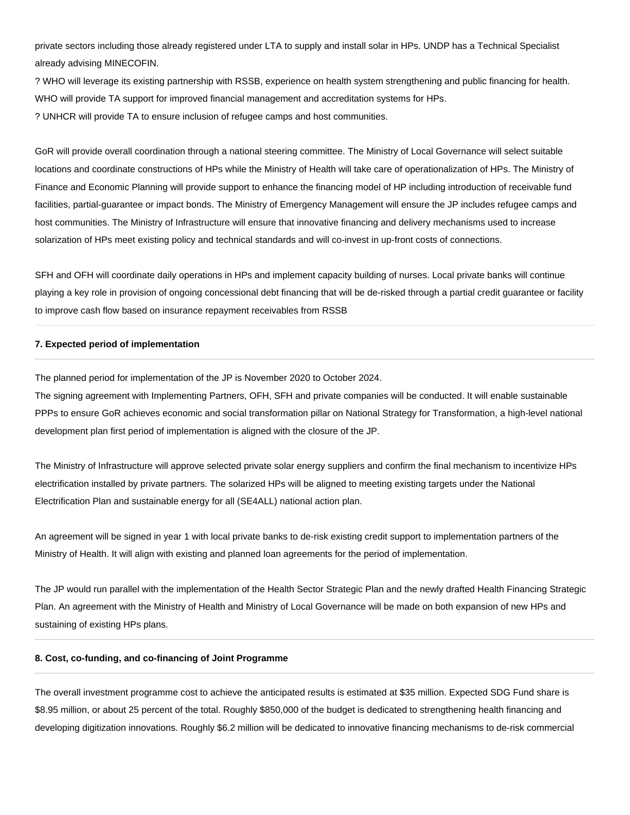private sectors including those already registered under LTA to supply and install solar in HPs. UNDP has a Technical Specialist already advising MINECOFIN.

? WHO will leverage its existing partnership with RSSB, experience on health system strengthening and public financing for health. WHO will provide TA support for improved financial management and accreditation systems for HPs. ? UNHCR will provide TA to ensure inclusion of refugee camps and host communities.

GoR will provide overall coordination through a national steering committee. The Ministry of Local Governance will select suitable locations and coordinate constructions of HPs while the Ministry of Health will take care of operationalization of HPs. The Ministry of Finance and Economic Planning will provide support to enhance the financing model of HP including introduction of receivable fund facilities, partial-guarantee or impact bonds. The Ministry of Emergency Management will ensure the JP includes refugee camps and host communities. The Ministry of Infrastructure will ensure that innovative financing and delivery mechanisms used to increase solarization of HPs meet existing policy and technical standards and will co-invest in up-front costs of connections.

SFH and OFH will coordinate daily operations in HPs and implement capacity building of nurses. Local private banks will continue playing a key role in provision of ongoing concessional debt financing that will be de-risked through a partial credit guarantee or facility to improve cash flow based on insurance repayment receivables from RSSB

#### **7. Expected period of implementation**

The planned period for implementation of the JP is November 2020 to October 2024.

The signing agreement with Implementing Partners, OFH, SFH and private companies will be conducted. It will enable sustainable PPPs to ensure GoR achieves economic and social transformation pillar on National Strategy for Transformation, a high-level national development plan first period of implementation is aligned with the closure of the JP.

The Ministry of Infrastructure will approve selected private solar energy suppliers and confirm the final mechanism to incentivize HPs electrification installed by private partners. The solarized HPs will be aligned to meeting existing targets under the National Electrification Plan and sustainable energy for all (SE4ALL) national action plan.

An agreement will be signed in year 1 with local private banks to de-risk existing credit support to implementation partners of the Ministry of Health. It will align with existing and planned loan agreements for the period of implementation.

The JP would run parallel with the implementation of the Health Sector Strategic Plan and the newly drafted Health Financing Strategic Plan. An agreement with the Ministry of Health and Ministry of Local Governance will be made on both expansion of new HPs and sustaining of existing HPs plans.

#### **8. Cost, co-funding, and co-financing of Joint Programme**

The overall investment programme cost to achieve the anticipated results is estimated at \$35 million. Expected SDG Fund share is \$8.95 million, or about 25 percent of the total. Roughly \$850,000 of the budget is dedicated to strengthening health financing and developing digitization innovations. Roughly \$6.2 million will be dedicated to innovative financing mechanisms to de-risk commercial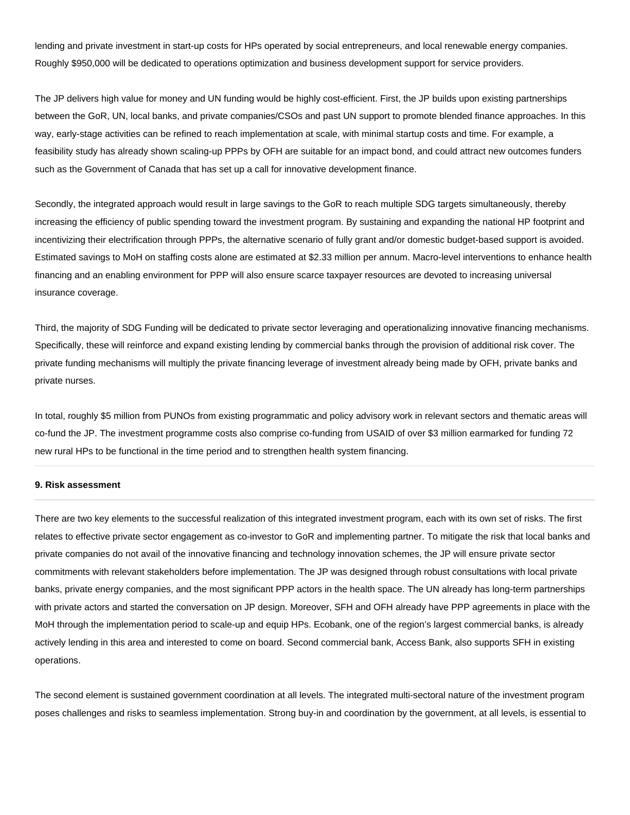lending and private investment in start-up costs for HPs operated by social entrepreneurs, and local renewable energy companies. Roughly \$950,000 will be dedicated to operations optimization and business development support for service providers.

The JP delivers high value for money and UN funding would be highly cost-efficient. First, the JP builds upon existing partnerships between the GoR, UN, local banks, and private companies/CSOs and past UN support to promote blended finance approaches. In this way, early-stage activities can be refined to reach implementation at scale, with minimal startup costs and time. For example, a feasibility study has already shown scaling-up PPPs by OFH are suitable for an impact bond, and could attract new outcomes funders such as the Government of Canada that has set up a call for innovative development finance.

Secondly, the integrated approach would result in large savings to the GoR to reach multiple SDG targets simultaneously, thereby increasing the efficiency of public spending toward the investment program. By sustaining and expanding the national HP footprint and incentivizing their electrification through PPPs, the alternative scenario of fully grant and/or domestic budget-based support is avoided. Estimated savings to MoH on staffing costs alone are estimated at \$2.33 million per annum. Macro-level interventions to enhance health financing and an enabling environment for PPP will also ensure scarce taxpayer resources are devoted to increasing universal insurance coverage.

Third, the majority of SDG Funding will be dedicated to private sector leveraging and operationalizing innovative financing mechanisms. Specifically, these will reinforce and expand existing lending by commercial banks through the provision of additional risk cover. The private funding mechanisms will multiply the private financing leverage of investment already being made by OFH, private banks and private nurses.

In total, roughly \$5 million from PUNOs from existing programmatic and policy advisory work in relevant sectors and thematic areas will co-fund the JP. The investment programme costs also comprise co-funding from USAID of over \$3 million earmarked for funding 72 new rural HPs to be functional in the time period and to strengthen health system financing.

#### **9. Risk assessment**

There are two key elements to the successful realization of this integrated investment program, each with its own set of risks. The first relates to effective private sector engagement as co-investor to GoR and implementing partner. To mitigate the risk that local banks and private companies do not avail of the innovative financing and technology innovation schemes, the JP will ensure private sector commitments with relevant stakeholders before implementation. The JP was designed through robust consultations with local private banks, private energy companies, and the most significant PPP actors in the health space. The UN already has long-term partnerships with private actors and started the conversation on JP design. Moreover, SFH and OFH already have PPP agreements in place with the MoH through the implementation period to scale-up and equip HPs. Ecobank, one of the region's largest commercial banks, is already actively lending in this area and interested to come on board. Second commercial bank, Access Bank, also supports SFH in existing operations.

The second element is sustained government coordination at all levels. The integrated multi-sectoral nature of the investment program poses challenges and risks to seamless implementation. Strong buy-in and coordination by the government, at all levels, is essential to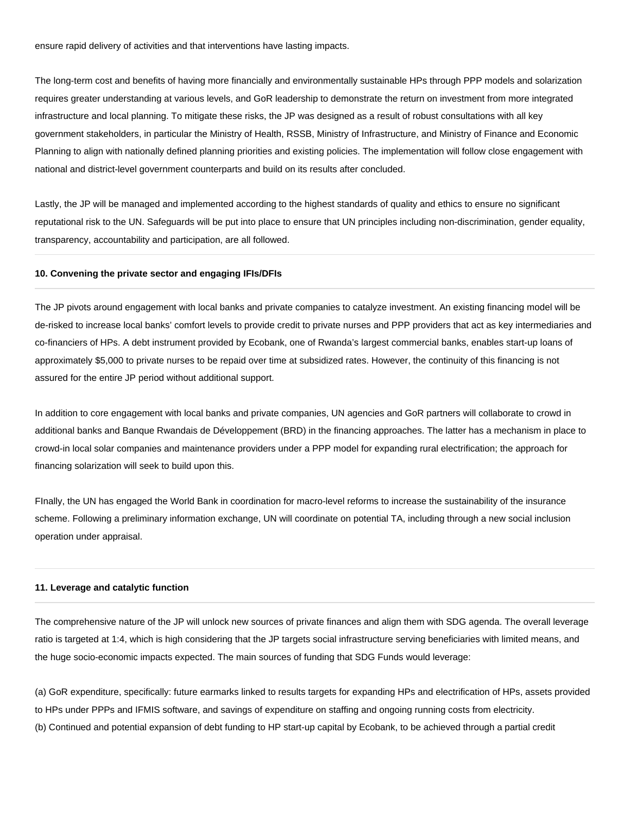ensure rapid delivery of activities and that interventions have lasting impacts.

The long-term cost and benefits of having more financially and environmentally sustainable HPs through PPP models and solarization requires greater understanding at various levels, and GoR leadership to demonstrate the return on investment from more integrated infrastructure and local planning. To mitigate these risks, the JP was designed as a result of robust consultations with all key government stakeholders, in particular the Ministry of Health, RSSB, Ministry of Infrastructure, and Ministry of Finance and Economic Planning to align with nationally defined planning priorities and existing policies. The implementation will follow close engagement with national and district-level government counterparts and build on its results after concluded.

Lastly, the JP will be managed and implemented according to the highest standards of quality and ethics to ensure no significant reputational risk to the UN. Safeguards will be put into place to ensure that UN principles including non-discrimination, gender equality, transparency, accountability and participation, are all followed.

#### **10. Convening the private sector and engaging IFIs/DFIs**

The JP pivots around engagement with local banks and private companies to catalyze investment. An existing financing model will be de-risked to increase local banks' comfort levels to provide credit to private nurses and PPP providers that act as key intermediaries and co-financiers of HPs. A debt instrument provided by Ecobank, one of Rwanda's largest commercial banks, enables start-up loans of approximately \$5,000 to private nurses to be repaid over time at subsidized rates. However, the continuity of this financing is not assured for the entire JP period without additional support.

In addition to core engagement with local banks and private companies, UN agencies and GoR partners will collaborate to crowd in additional banks and Banque Rwandais de Développement (BRD) in the financing approaches. The latter has a mechanism in place to crowd-in local solar companies and maintenance providers under a PPP model for expanding rural electrification; the approach for financing solarization will seek to build upon this.

FInally, the UN has engaged the World Bank in coordination for macro-level reforms to increase the sustainability of the insurance scheme. Following a preliminary information exchange, UN will coordinate on potential TA, including through a new social inclusion operation under appraisal.

#### **11. Leverage and catalytic function**

The comprehensive nature of the JP will unlock new sources of private finances and align them with SDG agenda. The overall leverage ratio is targeted at 1:4, which is high considering that the JP targets social infrastructure serving beneficiaries with limited means, and the huge socio-economic impacts expected. The main sources of funding that SDG Funds would leverage:

(a) GoR expenditure, specifically: future earmarks linked to results targets for expanding HPs and electrification of HPs, assets provided to HPs under PPPs and IFMIS software, and savings of expenditure on staffing and ongoing running costs from electricity. (b) Continued and potential expansion of debt funding to HP start-up capital by Ecobank, to be achieved through a partial credit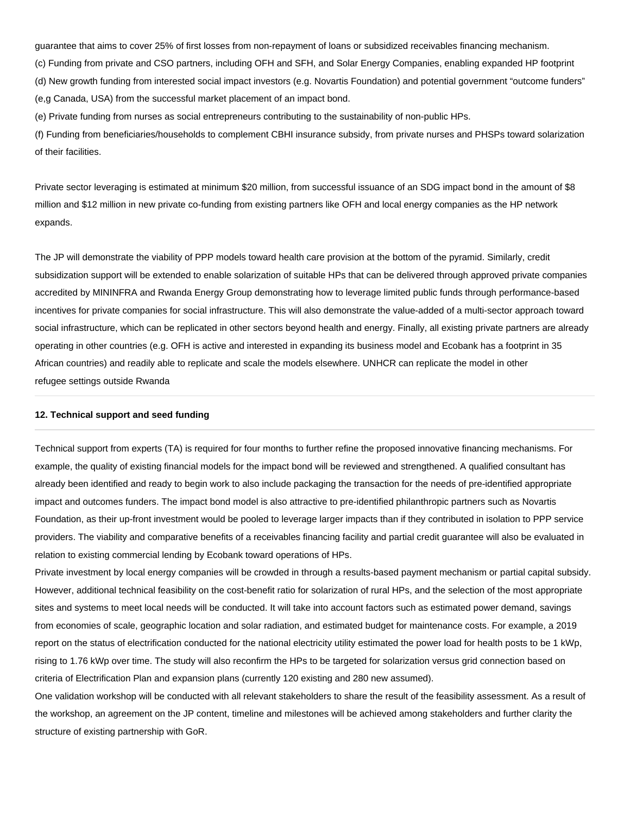guarantee that aims to cover 25% of first losses from non-repayment of loans or subsidized receivables financing mechanism.

(c) Funding from private and CSO partners, including OFH and SFH, and Solar Energy Companies, enabling expanded HP footprint (d) New growth funding from interested social impact investors (e.g. Novartis Foundation) and potential government "outcome funders" (e,g Canada, USA) from the successful market placement of an impact bond.

(e) Private funding from nurses as social entrepreneurs contributing to the sustainability of non-public HPs.

(f) Funding from beneficiaries/households to complement CBHI insurance subsidy, from private nurses and PHSPs toward solarization of their facilities.

Private sector leveraging is estimated at minimum \$20 million, from successful issuance of an SDG impact bond in the amount of \$8 million and \$12 million in new private co-funding from existing partners like OFH and local energy companies as the HP network expands.

The JP will demonstrate the viability of PPP models toward health care provision at the bottom of the pyramid. Similarly, credit subsidization support will be extended to enable solarization of suitable HPs that can be delivered through approved private companies accredited by MININFRA and Rwanda Energy Group demonstrating how to leverage limited public funds through performance-based incentives for private companies for social infrastructure. This will also demonstrate the value-added of a multi-sector approach toward social infrastructure, which can be replicated in other sectors beyond health and energy. Finally, all existing private partners are already operating in other countries (e.g. OFH is active and interested in expanding its business model and Ecobank has a footprint in 35 African countries) and readily able to replicate and scale the models elsewhere. UNHCR can replicate the model in other refugee settings outside Rwanda

#### **12. Technical support and seed funding**

Technical support from experts (TA) is required for four months to further refine the proposed innovative financing mechanisms. For example, the quality of existing financial models for the impact bond will be reviewed and strengthened. A qualified consultant has already been identified and ready to begin work to also include packaging the transaction for the needs of pre-identified appropriate impact and outcomes funders. The impact bond model is also attractive to pre-identified philanthropic partners such as Novartis Foundation, as their up-front investment would be pooled to leverage larger impacts than if they contributed in isolation to PPP service providers. The viability and comparative benefits of a receivables financing facility and partial credit guarantee will also be evaluated in relation to existing commercial lending by Ecobank toward operations of HPs.

Private investment by local energy companies will be crowded in through a results-based payment mechanism or partial capital subsidy. However, additional technical feasibility on the cost-benefit ratio for solarization of rural HPs, and the selection of the most appropriate sites and systems to meet local needs will be conducted. It will take into account factors such as estimated power demand, savings from economies of scale, geographic location and solar radiation, and estimated budget for maintenance costs. For example, a 2019 report on the status of electrification conducted for the national electricity utility estimated the power load for health posts to be 1 kWp, rising to 1.76 kWp over time. The study will also reconfirm the HPs to be targeted for solarization versus grid connection based on criteria of Electrification Plan and expansion plans (currently 120 existing and 280 new assumed).

One validation workshop will be conducted with all relevant stakeholders to share the result of the feasibility assessment. As a result of the workshop, an agreement on the JP content, timeline and milestones will be achieved among stakeholders and further clarity the structure of existing partnership with GoR.